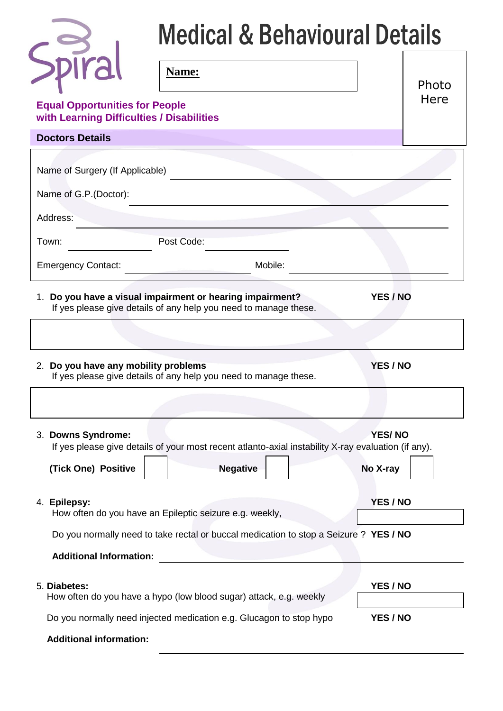| <b>Medical &amp; Behavioural Details</b>               |                                                                                                                               |                           |               |  |  |
|--------------------------------------------------------|-------------------------------------------------------------------------------------------------------------------------------|---------------------------|---------------|--|--|
| $p\bar{r}$ al<br><b>Equal Opportunities for People</b> | Name:                                                                                                                         |                           | Photo<br>Here |  |  |
| with Learning Difficulties / Disabilities              |                                                                                                                               |                           |               |  |  |
| <b>Doctors Details</b>                                 |                                                                                                                               |                           |               |  |  |
| Name of Surgery (If Applicable)                        |                                                                                                                               |                           |               |  |  |
| Name of G.P. (Doctor):                                 |                                                                                                                               |                           |               |  |  |
| Address:                                               |                                                                                                                               |                           |               |  |  |
| Town:                                                  | Post Code:                                                                                                                    |                           |               |  |  |
| <b>Emergency Contact:</b>                              | Mobile:                                                                                                                       |                           |               |  |  |
|                                                        | 1. Do you have a visual impairment or hearing impairment?<br>If yes please give details of any help you need to manage these. | YES / NO                  |               |  |  |
| 2. Do you have any mobility problems                   | If yes please give details of any help you need to manage these.                                                              | YES / NO                  |               |  |  |
|                                                        |                                                                                                                               |                           |               |  |  |
| 3. Downs Syndrome:<br>(Tick One) Positive              | If yes please give details of your most recent atlanto-axial instability X-ray evaluation (if any).<br><b>Negative</b>        | <b>YES/NO</b><br>No X-ray |               |  |  |
| 4. Epilepsy:                                           | How often do you have an Epileptic seizure e.g. weekly,                                                                       | YES / NO                  |               |  |  |
| <b>Additional Information:</b>                         | Do you normally need to take rectal or buccal medication to stop a Seizure ? YES / NO                                         |                           |               |  |  |
| 5. Diabetes:                                           | How often do you have a hypo (low blood sugar) attack, e.g. weekly                                                            | YES / NO                  |               |  |  |
| <b>Additional information:</b>                         | Do you normally need injected medication e.g. Glucagon to stop hypo                                                           | YES / NO                  |               |  |  |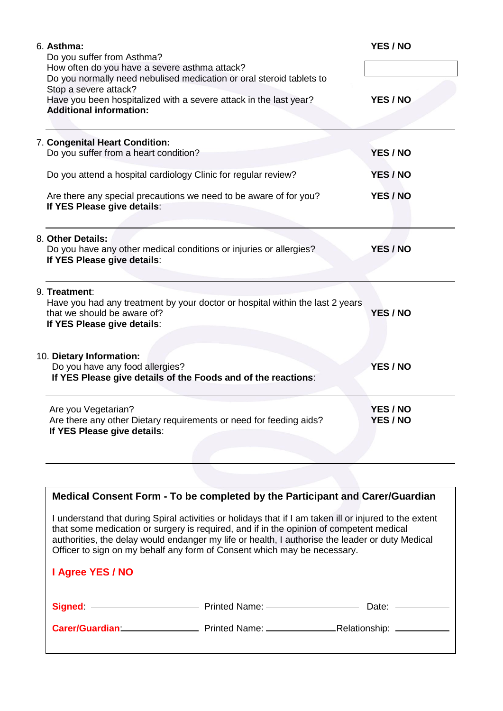| 6. Asthma:<br>Do you suffer from Asthma?                                                                     | YES / NO |
|--------------------------------------------------------------------------------------------------------------|----------|
| How often do you have a severe asthma attack?                                                                |          |
| Do you normally need nebulised medication or oral steroid tablets to                                         |          |
| Stop a severe attack?                                                                                        |          |
| Have you been hospitalized with a severe attack in the last year?<br><b>Additional information:</b>          | YES / NO |
|                                                                                                              |          |
|                                                                                                              |          |
| 7. Congenital Heart Condition:<br>Do you suffer from a heart condition?                                      | YES / NO |
|                                                                                                              |          |
| Do you attend a hospital cardiology Clinic for regular review?                                               | YES / NO |
| Are there any special precautions we need to be aware of for you?                                            | YES / NO |
| If YES Please give details:                                                                                  |          |
|                                                                                                              |          |
| 8. Other Details:                                                                                            |          |
| Do you have any other medical conditions or injuries or allergies?                                           | YES / NO |
| If YES Please give details:                                                                                  |          |
| 9. Treatment:                                                                                                |          |
| Have you had any treatment by your doctor or hospital within the last 2 years<br>that we should be aware of? | YES / NO |
| If YES Please give details:                                                                                  |          |
|                                                                                                              |          |
| 10. Dietary Information:                                                                                     |          |
| Do you have any food allergies?                                                                              | YES / NO |
| If YES Please give details of the Foods and of the reactions:                                                |          |
| Are you Vegetarian?                                                                                          | YES / NO |
| Are there any other Dietary requirements or need for feeding aids?                                           | YES / NO |
| If YES Please give details:                                                                                  |          |
|                                                                                                              |          |
|                                                                                                              |          |
|                                                                                                              |          |
| Medical Consent Form - To be completed by the Participant and Carer/Guardian                                 |          |
| I understand that during Spiral activities or holidays that if I am taken ill or injured to the extent       |          |
| that some medication or surgery is required, and if in the opinion of competent medical                      |          |
| authorities, the delay would endanger my life or health, I authorise the leader or duty Medical              |          |

| I Agree YES / NO |  |
|------------------|--|
|                  |  |
|                  |  |

Officer to sign on my behalf any form of Consent which may be necessary.